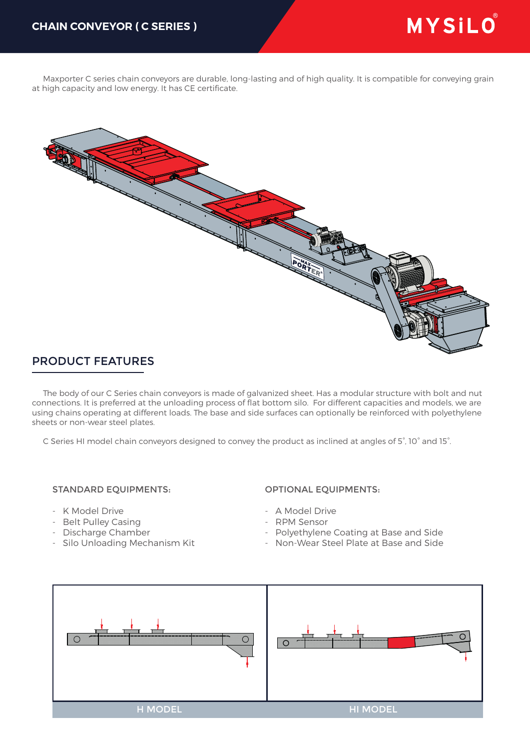Maxporter C series chain conveyors are durable, long-lasting and of high quality. It is compatible for conveying grain at high capacity and low energy. It has CE certificate.



## PRODUCT FEATURES

 The body of our C Series chain conveyors is made of galvanized sheet. Has a modular structure with bolt and nut connections. It is preferred at the unloading process of flat bottom silo. For different capacities and models, we are using chains operating at different loads. The base and side surfaces can optionally be reinforced with polyethylene sheets or non-wear steel plates.

C Series HI model chain conveyors designed to convey the product as inclined at angles of 5°, 10° and 15°.

## STANDARD EQUIPMENTS:

- K Model Drive
- Belt Pulley Casing
- Discharge Chamber
- Silo Unloading Mechanism Kit

## OPTIONAL EQUIPMENTS:

- A Model Drive
- RPM Sensor
- Polyethylene Coating at Base and Side
- Non-Wear Steel Plate at Base and Side